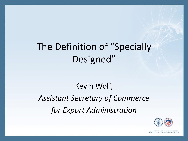# The Definition of "Specially Designed"

# Kevin Wolf, *Assistant Secretary of Commerce for Export Administration*

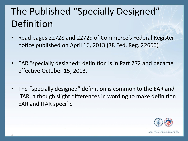# The Published "Specially Designed" Definition

- Read pages 22728 and 22729 of Commerce's Federal Register notice published on April 16, 2013 (78 Fed. Reg. 22660)
- EAR "specially designed" definition is in Part 772 and became effective October 15, 2013.
- The "specially designed" definition is common to the EAR and ITAR, although slight differences in wording to make definition EAR and ITAR specific.

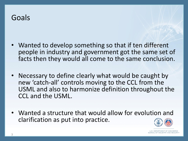#### Goals

- Wanted to develop something so that if ten different people in industry and government got the same set of facts then they would all come to the same conclusion.
- Necessary to define clearly what would be caught by new 'catch-all' controls moving to the CCL from the USML and also to harmonize definition throughout the CCL and the USML.
- Wanted a structure that would allow for evolution and clarification as put into practice.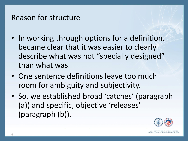#### Reason for structure

- In working through options for a definition, became clear that it was easier to clearly describe what was not "specially designed" than what was.
- One sentence definitions leave too much room for ambiguity and subjectivity.
- So, we established broad 'catches' (paragraph (a)) and specific, objective 'releases' (paragraph (b)).

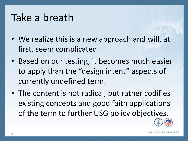# Take a breath

- We realize this is a new approach and will, at first, seem complicated.
- Based on our testing, it becomes much easier to apply than the "design intent" aspects of currently undefined term.
- The content is not radical, but rather codifies existing concepts and good faith applications of the term to further USG policy objectives.

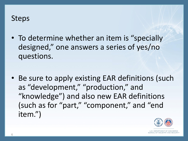#### Steps

- To determine whether an item is "specially designed," one answers a series of yes/no questions.
- Be sure to apply existing EAR definitions (such as "development," "production," and "knowledge") and also new EAR definitions (such as for "part," "component," and "end item.")

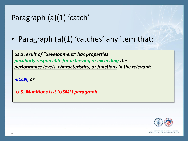#### Paragraph (a)(1) 'catch'

• Paragraph (a)(1) 'catches' any item that:

*as a result of "development" has properties peculiarly responsible for achieving or exceeding the performance levels, characteristics, or functions in the relevant:* 

*-ECCN, or*

*-U.S. Munitions List (USML) paragraph.* 

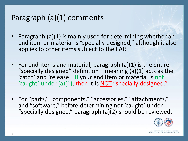### Paragraph (a)(1) comments

- Paragraph (a)(1) is mainly used for determining whether an end item or material is "specially designed," although it also applies to other items subject to the EAR.
- For end-items and material, paragraph (a)(1) is the entire "specially designed" definition – meaning  $(a)(1)$  acts as the 'catch' and 'release.' If your end item or material is not 'caught' under (a)(1), then it is NOT "specially designed."
- For "parts," "components," "accessories," "attachments," and "software," before determining not 'caught' under "specially designed," paragraph (a)(2) should be reviewed.

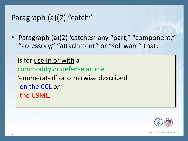#### Paragraph (a)(2) "catch"

• Paragraph (a)(2) 'catches' any "part," "component," "accessory," "attachment" or "software" that:

Is for use in or with a commodity or defense article 'enumerated' or otherwise described -on the CCL *or* -the USML.



**ILLS. DEPARTMENT OF COMME** BUREAU OF INDUSTRY AND SECI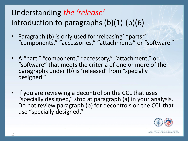## Understanding *the 'release'*  introduction to paragraphs (b)(1)-(b)(6)

- Paragraph (b) is only used for 'releasing' "parts," "components," "accessories," "attachments" or "software."
- A "part," "component," "accessory," "attachment," or "software" that meets the criteria of one or more of the paragraphs under (b) is 'released' from "specially designed."
- If you are reviewing a decontrol on the CCL that uses "specially designed," stop at paragraph (a) in your analysis. Do not review paragraph (b) for decontrols on the CCL that use "specially designed."

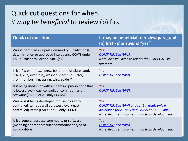#### Quick cut questions for when *it may be beneficial* to review (b) first

| <b>Quick cut question</b>                                                                                                                                      | It may be beneficial to review paragraph<br>(b) first - if answer is "yes"                                                                                         |
|----------------------------------------------------------------------------------------------------------------------------------------------------------------|--------------------------------------------------------------------------------------------------------------------------------------------------------------------|
| Was it identified in a past Commodity Jurisdiction (CJ)<br>determination or approved interagency CCATS under<br>EAR pursuant to Section 748.3(e)?              | Yes<br>QUICK TIP: See (b)(1).<br>Note: Also will need to review the CJ or CCATS in<br>question.                                                                    |
| Is it a fastener (e.g., screw, bolt, nut, nut plate, stud,<br>insert, clip, rivet, pin), washer, spacer, insulator,<br>grommet, bushing, spring, wire, solder? | <b>Yes</b><br>QUICK TIP: See (b)(2).                                                                                                                               |
| Is it being used in or with an item in "production" that<br>is lowest level (least controlled) commodities or<br>software (EAR99 or AT-only ECCNs)?            | <b>Yes</b><br><u>QUICK TIP</u> : See (b)(3).                                                                                                                       |
| Was or is it being developed for use in or with<br>controlled items as well as lowest level (least<br>controlled) items (EAR99 or AT-only ECCNs?)              | <b>Yes</b><br>QUICK TIP: See (b)(4) and (b)(6). (b)(6) only if<br>developed for AT-only and EAR99 or EAR99 only.<br>Note: Requires documentation from development. |
| Is it a general purpose commodity or software<br>(meaning not for particular commodity or type of<br>commodity)?                                               | <b>Yes</b><br>QUICK TIP: See (b)(5).<br>Note: Requires documentation from development.                                                                             |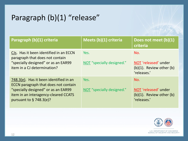## Paragraph (b)(1) "release"

| Paragraph (b)(1) criteria                                                                                                                                                                   | Meets (b)(1) criteria             | Does not meet (b)(1)<br>criteria                                            |
|---------------------------------------------------------------------------------------------------------------------------------------------------------------------------------------------|-----------------------------------|-----------------------------------------------------------------------------|
| CJs. Has it been identified in an ECCN<br>paragraph that does not contain<br>"specially designed" or as an EAR99<br>item in a CJ determination?                                             | Yes.<br>NOT "specially designed." | No.<br>NOT 'released' under<br>$(b)(1)$ . Review other $(b)$<br>'releases.' |
| 748.3(e). Has it been identified in an<br>ECCN paragraph that does not contain<br>"specially designed" or as an EAR99<br>item in an interagency-cleared CCATS<br>pursuant to $\S$ 748.3(e)? | Yes.<br>NOT "specially designed." | No.<br>NOT 'released' under<br>$(b)(1)$ . Review other $(b)$<br>'releases.' |

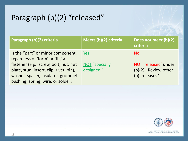## Paragraph (b)(2) "released"

| Paragraph (b)(2) criteria                                                                                                                                    | Meets (b)(2) criteria        | Does not meet (b)(2)<br>criteria                                |
|--------------------------------------------------------------------------------------------------------------------------------------------------------------|------------------------------|-----------------------------------------------------------------|
| Is the "part" or minor component,<br>regardless of 'form' or 'fit,' a                                                                                        | Yes.                         | No.                                                             |
| fastener (e.g., screw, bolt, nut, nut<br>plate, stud, insert, clip, rivet, pin),<br>washer, spacer, insulator, grommet,<br>bushing, spring, wire, or solder? | NOT "specially<br>designed." | NOT 'released' under<br>(b)(2). Review other<br>(b) 'releases.' |

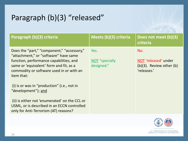## Paragraph (b)(3) "released"

| Paragraph (b)(3) criteria                                                                                                                                                                                                                                                                                                                                  | Meets (b)(3) criteria                | Does not meet (b)(3)<br>criteria                                            |
|------------------------------------------------------------------------------------------------------------------------------------------------------------------------------------------------------------------------------------------------------------------------------------------------------------------------------------------------------------|--------------------------------------|-----------------------------------------------------------------------------|
| Does the "part," "component," "accessory,"<br>"attachment," or "software" have same<br>function, performance capabilities, and<br>same or 'equivalent' form and fit, as a<br>commodity or software used in or with an<br>item that:<br>(i) is or was in "production" (i.e., not in<br>"development"); and<br>(ii) is either not 'enumerated' on the CCL or | Yes.<br>NOT "specially<br>designed." | No.<br>NOT 'released' under<br>$(b)(3)$ . Review other $(b)$<br>'releases.' |
| USML, or is described in an ECCN controlled<br>only for Anti-Terrorism (AT) reasons?                                                                                                                                                                                                                                                                       |                                      |                                                                             |

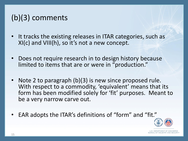## (b)(3) comments

- It tracks the existing releases in ITAR categories, such as XI(c) and VIII(h), so it's not a new concept.
- Does not require research in to design history because limited to items that are or were in "production."
- Note 2 to paragraph (b)(3) is new since proposed rule. With respect to a commodity, 'equivalent' means that its form has been modified solely for 'fit' purposes. Meant to be a very narrow carve out.
- EAR adopts the ITAR's definitions of "form" and "fit."

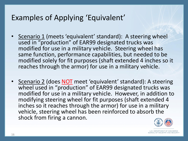### Examples of Applying 'Equivalent'

- Scenario 1 (meets 'equivalent' standard): A steering wheel used in "production" of EAR99 designated trucks was modified for use in a military vehicle. Steering wheel has same function, performance capabilities, but needed to be modified solely for fit purposes (shaft extended 4 inches so it reaches through the armor) for use in a military vehicle.
- Scenario 2 (does NOT meet 'equivalent' standard): A steering wheel used in "production" of EAR99 designated trucks was modified for use in a military vehicle. However, in addition to modifying steering wheel for fit purposes (shaft extended 4 inches so it reaches through the armor) for use in a military vehicle, steering wheel has been reinforced to absorb the shock from firing a cannon.

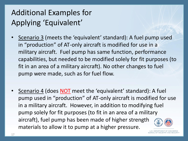## Additional Examples for Applying 'Equivalent'

- Scenario 3 (meets the 'equivalent' standard): A fuel pump used in "production" of AT-only aircraft is modified for use in a military aircraft. Fuel pump has same function, performance capabilities, but needed to be modified solely for fit purposes (to fit in an area of a military aircraft). No other changes to fuel pump were made, such as for fuel flow.
- Scenario 4 (does NOT meet the 'equivalent' standard): A fuel pump used in "production" of AT-only aircraft is modified for use in a military aircraft. However, in addition to modifying fuel pump solely for fit purposes (to fit in an area of a military aircraft), fuel pump has been made of higher strength materials to allow it to pump at a higher pressure.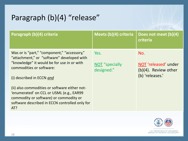## Paragraph (b)(4) "release"

| Paragraph (b)(4) criteria                                                                                                                                                                        | Meets (b)(4) criteria                | Does not meet (b)(4)<br>criteria                                          |
|--------------------------------------------------------------------------------------------------------------------------------------------------------------------------------------------------|--------------------------------------|---------------------------------------------------------------------------|
| Was or is "part," "component," "accessory,"<br>"attachment," or "software" developed with<br>"knowledge" it would be for use in or with<br>commodities or software:<br>(i) described in ECCN and | Yes.<br>NOT "specially<br>designed." | No.<br>NOT 'released' under<br>$(b)(4)$ . Review other<br>(b) 'releases.' |
| (ii) also commodities or software either not-<br>'enumerated' on CCL or USML (e.g., EAR99<br>commodity or software) or commodity or<br>software described in ECCN controlled only for<br>AT?     |                                      |                                                                           |

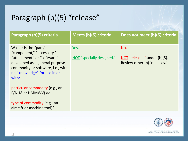## Paragraph (b)(5) "release"

| Paragraph (b)(5) criteria                                                                                                                                                                                                                                                                                              | Meets (b)(5) criteria             | Does not meet (b)(5) criteria                                       |
|------------------------------------------------------------------------------------------------------------------------------------------------------------------------------------------------------------------------------------------------------------------------------------------------------------------------|-----------------------------------|---------------------------------------------------------------------|
| Was or is the "part,"<br>"component," "accessory,"<br>"attachment" or "software"<br>developed as a general purpose<br>commodity or software, i.e., with<br>no "knowledge" for use in or<br>with:<br>particular commodity (e.g., an<br>F/A-18 or HMMWV) or<br>type of commodity (e.g., an<br>aircraft or machine tool)? | Yes.<br>NOT "specially designed." | No.<br>NOT 'released' under (b)(5).<br>Review other (b) 'releases.' |

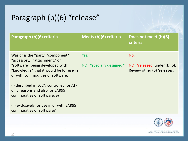## Paragraph (b)(6) "release"

| Paragraph (b)(6) criteria                                                                                      | Meets (b)(6) criteria     | Does not meet (b)(6)<br>criteria                             |
|----------------------------------------------------------------------------------------------------------------|---------------------------|--------------------------------------------------------------|
| Was or is the "part," "component,"<br>"accessory," "attachment," or                                            | Yes.                      | No.                                                          |
| "software" being developed with<br>"knowledge" that it would be for use in<br>or with commodities or software: | NOT "specially designed." | NOT 'released' under (b)(6).<br>Review other (b) 'releases.' |
| (i) described in ECCN controlled for AT-<br>only reasons and also for EAR99<br>commodities or software, or     |                           |                                                              |
| (ii) exclusively for use in or with EAR99<br>commodities or software?                                          |                           |                                                              |

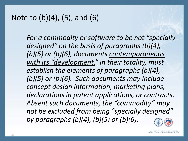### Note to (b)(4), (5), and (6)

– *For a commodity or software to be not "specially designed" on the basis of paragraphs (b)(4), (b)(5) or (b)(6), documents contemporaneous with its "development," in their totality, must establish the elements of paragraphs (b)(4), (b)(5) or (b)(6). Such documents may include concept design information, marketing plans, declarations in patent applications, or contracts. Absent such documents, the "commodity" may not be excluded from being "specially designed" by paragraphs (b)(4), (b)(5) or (b)(6).* 

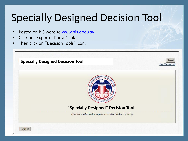# Specially Designed Decision Tool

- Posted on BIS website [www.bis.doc.gov](http://www.bis.doc.gov/)
- Click on "Exporter Portal" link.
- Then click on "Decision Tools" icon.

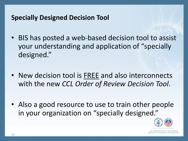#### **Specially Designed Decision Tool**

- BIS has posted a web-based decision tool to assist your understanding and application of "specially designed."
- New decision tool is FREE and also interconnects with the new *CCL Order of Review Decision Tool*.
- Also a good resource to use to train other people in your organization on "specially designed."

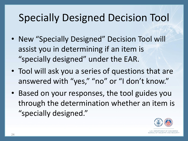# Specially Designed Decision Tool

- New "Specially Designed" Decision Tool will assist you in determining if an item is "specially designed" under the EAR.
- Tool will ask you a series of questions that are answered with "yes," "no" or "I don't know."
- Based on your responses, the tool guides you through the determination whether an item is "specially designed."

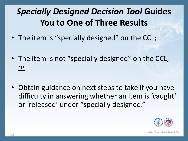# *Specially Designed Decision Tool* **Guides You to One of Three Results**

- The item is "specially designed" on the CCL;
- The item is not "specially designed" on the CCL; *or*
- Obtain guidance on next steps to take if you have difficulty in answering whether an item is 'caught' or 'released' under "specially designed."

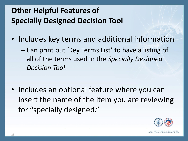## **Other Helpful Features of Specially Designed Decision Tool**

- Includes key terms and additional information
	- Can print out 'Key Terms List' to have a listing of all of the terms used in the *Specially Designed Decision Tool*.
- Includes an optional feature where you can insert the name of the item you are reviewing for "specially designed."

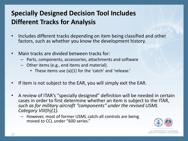#### **Specially Designed Decision Tool Includes Different Tracks for Analysis**

- Includes different tracks depending on item being classified and other factors, such as whether you know the development history.
- Main tracks are divided between tracks for:
	- Parts, components, accessories, attachments and software
	- Other items (e.g., end items and material).
		- These items use (a)(1) for the 'catch' and 'release.'
- If item is not subject to the EAR, you will simply exit the EAR.
- A review of ITAR's "specially designed" definition will be needed in certain cases in order to first determine whether an item is subject to the ITAR, *such as for military aircraft "components" under the revised USML Category VIII(h)(1).* 
	- However, most of former USML catch-all controls are being moved to CCL under "600 series."

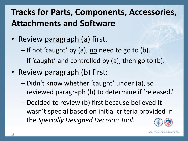# **Tracks for Parts, Components, Accessories, Attachments and Software**

- Review paragraph (a) first.
	- $-$  If not 'caught' by (a), no need to go to (b).
	- If 'caught' and controlled by (a), then go to (b).
- Review paragraph (b) first:
	- Didn't know whether 'caught' under (a), so reviewed paragraph (b) to determine if 'released.'
	- Decided to review (b) first because believed it wasn't special based on initial criteria provided in the *Specially Designed Decision Tool*.

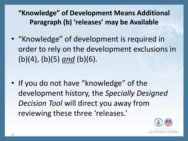**"Knowledge" of Development Means Additional Paragraph (b) 'releases' may be Available**

• "Knowledge" of development is required in order to rely on the development exclusions in (b)(4), (b)(5) *and* (b)(6).

• If you do not have "knowledge" of the development history, the *Specially Designed Decision Tool* will direct you away from reviewing these three 'releases.'